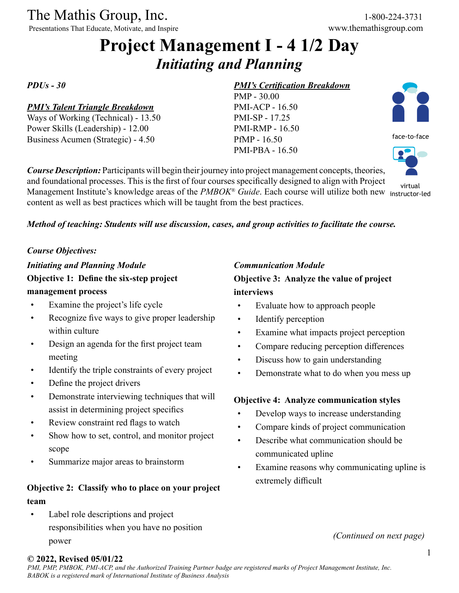The Mathis Group, Inc. 1-800-224-3731<br>
Presentations That Educate, Motivate, and Inspire www.themathisgroup.com

Presentations That Educate, Motivate, and Inspire

# **Project Management I - 4 1/2 Day** *Initiating and Planning*

*PDUs - 30*

#### *PMI's Talent Triangle Breakdown*

Ways of Working (Technical) - 13.50 Power Skills (Leadership) - 12.00 Business Acumen (Strategic) - 4.50

#### *PMI's Certification Breakdown*

PMP - 30.00 PMI-ACP - 16.50 PMI-SP - 17.25 PMI-RMP - 16.50 PfMP - 16.50 PMI-PBA - 16.50



face-to-face

virtual

*Course Description:* Participants will begin their journey into project management concepts, theories, and foundational processes. This is the first of four courses specifically designed to align with Project Management Institute's knowledge areas of the *PMBOK® Guide*. Each course will utilize both new instructor-ledcontent as well as best practices which will be taught from the best practices.

#### *Method of teaching: Students will use discussion, cases, and group activities to facilitate the course.*

#### *Course Objectives:*

*Initiating and Planning Module* **Objective 1: Define the six-step project management process**

- Examine the project's life cycle
- Recognize five ways to give proper leadership within culture
- Design an agenda for the first project team meeting
- Identify the triple constraints of every project
- Define the project drivers
- Demonstrate interviewing techniques that will assist in determining project specifics
- Review constraint red flags to watch
- Show how to set, control, and monitor project scope
- Summarize major areas to brainstorm

### **Objective 2: Classify who to place on your project team**

Label role descriptions and project responsibilities when you have no position power

#### *Communication Module*

**Objective 3: Analyze the value of project interviews**

- Evaluate how to approach people
- Identify perception
- Examine what impacts project perception
- Compare reducing perception differences
- Discuss how to gain understanding
- Demonstrate what to do when you mess up

#### **Objective 4: Analyze communication styles**

- Develop ways to increase understanding
- Compare kinds of project communication
- Describe what communication should be communicated upline
- Examine reasons why communicating upline is extremely difficult

*(Continued on next page)*

#### **© 2022, Revised 05/01/22**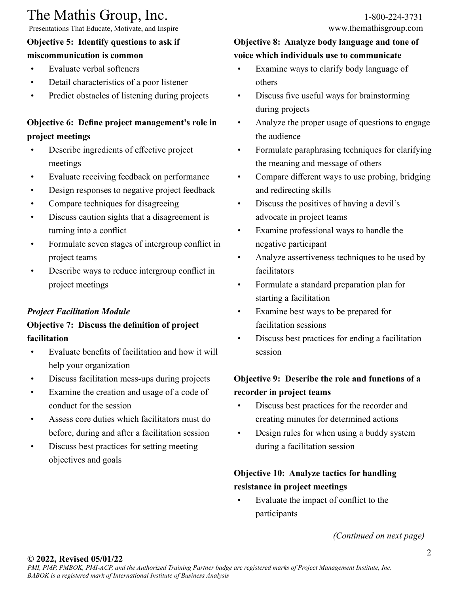# The Mathis Group, Inc. 1-800-224-3731<br>
Presentations That Educate, Motivate, and Inspire www.themathisgroup.com

Presentations That Educate, Motivate, and Inspire

## **Objective 5: Identify questions to ask if**

## **miscommunication is common**

- Evaluate verbal softeners
- Detail characteristics of a poor listener
- Predict obstacles of listening during projects

## **Objective 6: Define project management's role in project meetings**

- Describe ingredients of effective project meetings
- Evaluate receiving feedback on performance
- Design responses to negative project feedback
- Compare techniques for disagreeing
- Discuss caution sights that a disagreement is turning into a conflict
- Formulate seven stages of intergroup conflict in project teams
- Describe ways to reduce intergroup conflict in project meetings

## *Project Facilitation Module*

## **Objective 7: Discuss the definition of project facilitation**

- Evaluate benefits of facilitation and how it will help your organization
- Discuss facilitation mess-ups during projects
- Examine the creation and usage of a code of conduct for the session
- Assess core duties which facilitators must do before, during and after a facilitation session
- Discuss best practices for setting meeting objectives and goals

### **Objective 8: Analyze body language and tone of voice which individuals use to communicate**

- Examine ways to clarify body language of others
- Discuss five useful ways for brainstorming during projects
- Analyze the proper usage of questions to engage the audience
- Formulate paraphrasing techniques for clarifying the meaning and message of others
- Compare different ways to use probing, bridging and redirecting skills
- Discuss the positives of having a devil's advocate in project teams
- Examine professional ways to handle the negative participant
- Analyze assertiveness techniques to be used by facilitators
- Formulate a standard preparation plan for starting a facilitation
- Examine best ways to be prepared for facilitation sessions
- Discuss best practices for ending a facilitation session

## **Objective 9: Describe the role and functions of a recorder in project teams**

- Discuss best practices for the recorder and creating minutes for determined actions
- Design rules for when using a buddy system during a facilitation session

## **Objective 10: Analyze tactics for handling resistance in project meetings**

• Evaluate the impact of conflict to the participants

*(Continued on next page)*

#### **© 2022, Revised 05/01/22**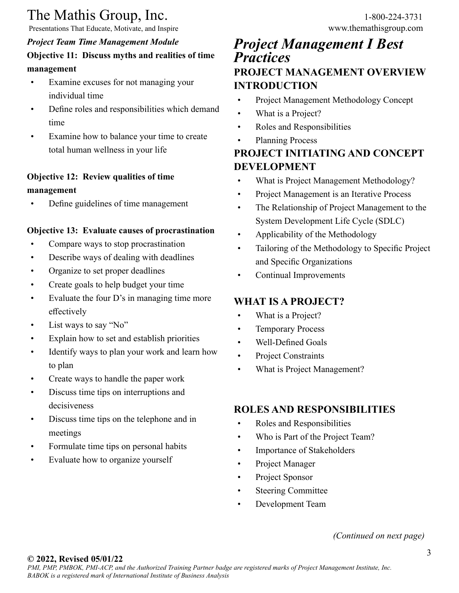# The Mathis Group, Inc. 1-800-224-3731<br>
Presentations That Educate, Motivate, and Inspire www.themathisgroup.com

Presentations That Educate, Motivate, and Inspire

#### *Project Team Time Management Module* **Objective 11: Discuss myths and realities of time management**

- Examine excuses for not managing your individual time
- Define roles and responsibilities which demand time
- Examine how to balance your time to create total human wellness in your life

### **Objective 12: Review qualities of time management**

• Define guidelines of time management

#### **Objective 13: Evaluate causes of procrastination**

- Compare ways to stop procrastination
- Describe ways of dealing with deadlines
- Organize to set proper deadlines
- Create goals to help budget your time
- Evaluate the four D's in managing time more effectively
- List ways to say "No"
- Explain how to set and establish priorities
- Identify ways to plan your work and learn how to plan
- Create ways to handle the paper work
- Discuss time tips on interruptions and decisiveness
- Discuss time tips on the telephone and in meetings
- Formulate time tips on personal habits
- Evaluate how to organize yourself

## *Project Management I Best Practices* **PROJECT MANAGEMENT OVERVIEW INTRODUCTION**

- Project Management Methodology Concept
- What is a Project?
- Roles and Responsibilities
- Planning Process

## **PROJECT INITIATING AND CONCEPT DEVELOPMENT**

- What is Project Management Methodology?
- Project Management is an Iterative Process
- The Relationship of Project Management to the System Development Life Cycle (SDLC)
- Applicability of the Methodology
- Tailoring of the Methodology to Specific Project and Specific Organizations
- Continual Improvements

## **WHAT IS A PROJECT?**

- What is a Project?
- Temporary Process
- Well-Defined Goals
- Project Constraints
- What is Project Management?

### **ROLES AND RESPONSIBILITIES**

- Roles and Responsibilities
- Who is Part of the Project Team?
- Importance of Stakeholders
- Project Manager
- Project Sponsor
- **Steering Committee**
- Development Team

#### *(Continued on next page)*